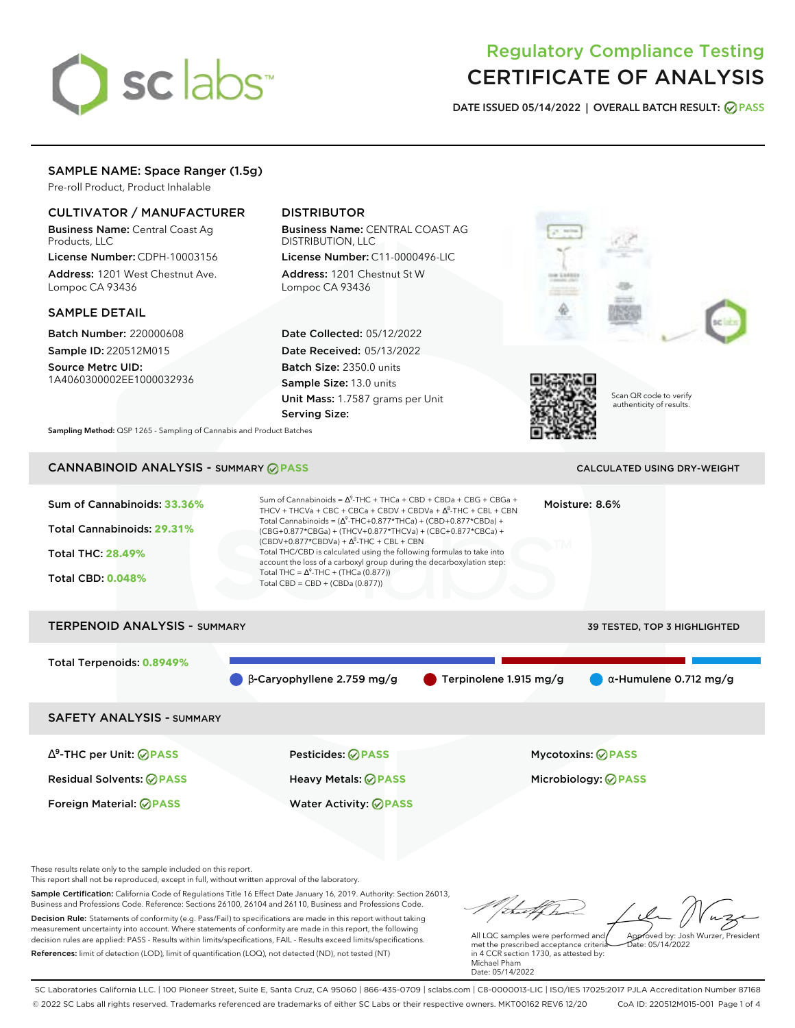# sclabs<sup>\*</sup>

# Regulatory Compliance Testing CERTIFICATE OF ANALYSIS

**DATE ISSUED 05/14/2022 | OVERALL BATCH RESULT: PASS**

### SAMPLE NAME: Space Ranger (1.5g)

Pre-roll Product, Product Inhalable

### CULTIVATOR / MANUFACTURER

Business Name: Central Coast Ag Products, LLC

License Number: CDPH-10003156 Address: 1201 West Chestnut Ave. Lompoc CA 93436

### SAMPLE DETAIL

Batch Number: 220000608 Sample ID: 220512M015

Source Metrc UID: 1A4060300002EE1000032936

## DISTRIBUTOR

Business Name: CENTRAL COAST AG DISTRIBUTION, LLC License Number: C11-0000496-LIC

Address: 1201 Chestnut St W Lompoc CA 93436

Date Collected: 05/12/2022 Date Received: 05/13/2022 Batch Size: 2350.0 units Sample Size: 13.0 units Unit Mass: 1.7587 grams per Unit Serving Size:





Scan QR code to verify authenticity of results.

**Sampling Method:** QSP 1265 - Sampling of Cannabis and Product Batches

# **CANNABINOID ANALYSIS - SUMMARY @ PASS** CALCULATED USING DRY-WEIGHT

Sum of Cannabinoids: **33.36%** Total Cannabinoids: **29.31%** Total THC: **28.49%** Total CBD: **0.048%** Sum of Cannabinoids =  $\Delta^9$ -THC + THCa + CBD + CBDa + CBG + CBGa + THCV + THCVa + CBC + CBCa + CBDV + CBDVa +  $\Delta^8$ -THC + CBL + CBN Total Cannabinoids = ( $\Delta^9$ -THC+0.877\*THCa) + (CBD+0.877\*CBDa) + (CBG+0.877\*CBGa) + (THCV+0.877\*THCVa) + (CBC+0.877\*CBCa) +  $(CBDV+0.877*CBDVa) + \Delta^8$ -THC + CBL + CBN Total THC/CBD is calculated using the following formulas to take into account the loss of a carboxyl group during the decarboxylation step: Total THC =  $\Delta^9$ -THC + (THCa (0.877)) Total CBD = CBD + (CBDa (0.877)) Moisture: 8.6%

# TERPENOID ANALYSIS - SUMMARY 39 TESTED, TOP 3 HIGHLIGHTED Total Terpenoids: **0.8949%**  $\bullet$  β-Caryophyllene 2.759 mg/g  $\bullet$  Terpinolene 1.915 mg/g  $\bullet$  α-Humulene 0.712 mg/g SAFETY ANALYSIS - SUMMARY

∆ 9 -THC per Unit: **PASS** Pesticides: **PASS** Mycotoxins: **PASS** Residual Solvents: **PASS** Heavy Metals: **PASS** Microbiology: **PASS** Foreign Material: **PASS** Water Activity: **PASS**

These results relate only to the sample included on this report.

This report shall not be reproduced, except in full, without written approval of the laboratory.

Sample Certification: California Code of Regulations Title 16 Effect Date January 16, 2019. Authority: Section 26013, Business and Professions Code. Reference: Sections 26100, 26104 and 26110, Business and Professions Code. Decision Rule: Statements of conformity (e.g. Pass/Fail) to specifications are made in this report without taking measurement uncertainty into account. Where statements of conformity are made in this report, the following decision rules are applied: PASS - Results within limits/specifications, FAIL - Results exceed limits/specifications.

References: limit of detection (LOD), limit of quantification (LOQ), not detected (ND), not tested (NT)

Approved by: Josh Wurzer, President

 $hat: 05/14/2022$ 

All LQC samples were performed and met the prescribed acceptance criteria in 4 CCR section 1730, as attested by: Michael Pham Date: 05/14/2022

SC Laboratories California LLC. | 100 Pioneer Street, Suite E, Santa Cruz, CA 95060 | 866-435-0709 | sclabs.com | C8-0000013-LIC | ISO/IES 17025:2017 PJLA Accreditation Number 87168 © 2022 SC Labs all rights reserved. Trademarks referenced are trademarks of either SC Labs or their respective owners. MKT00162 REV6 12/20 CoA ID: 220512M015-001 Page 1 of 4